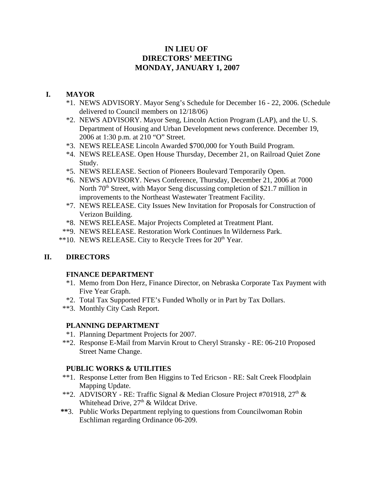# **IN LIEU OF DIRECTORS' MEETING MONDAY, JANUARY 1, 2007**

## **I. MAYOR**

- \*1. NEWS ADVISORY. Mayor Seng's Schedule for December 16 22, 2006. (Schedule delivered to Council members on 12/18/06)
- \*2. NEWS ADVISORY. Mayor Seng, Lincoln Action Program (LAP), and the U. S. Department of Housing and Urban Development news conference. December 19, 2006 at 1:30 p.m. at 210 "O" Street.
- \*3. NEWS RELEASE Lincoln Awarded \$700,000 for Youth Build Program.
- \*4. NEWS RELEASE. Open House Thursday, December 21, on Railroad Quiet Zone Study.
- \*5. NEWS RELEASE. Section of Pioneers Boulevard Temporarily Open.
- \*6. NEWS ADVISORY. News Conference, Thursday, December 21, 2006 at 7000 North  $70<sup>th</sup>$  Street, with Mayor Seng discussing completion of \$21.7 million in improvements to the Northeast Wastewater Treatment Facility.
- \*7. NEWS RELEASE. City Issues New Invitation for Proposals for Construction of Verizon Building.
- \*8. NEWS RELEASE. Major Projects Completed at Treatment Plant.
- \*\*9. NEWS RELEASE. Restoration Work Continues In Wilderness Park.
- \*\*10. NEWS RELEASE. City to Recycle Trees for 20<sup>th</sup> Year.

## **II. DIRECTORS**

## **FINANCE DEPARTMENT**

- \*1. Memo from Don Herz, Finance Director, on Nebraska Corporate Tax Payment with Five Year Graph.
- \*2. Total Tax Supported FTE's Funded Wholly or in Part by Tax Dollars.
- \*\*3. Monthly City Cash Report.

## **PLANNING DEPARTMENT**

- \*1. Planning Department Projects for 2007.
- \*\*2. Response E-Mail from Marvin Krout to Cheryl Stransky RE: 06-210 Proposed Street Name Change.

## **PUBLIC WORKS & UTILITIES**

- \*\*1. Response Letter from Ben Higgins to Ted Ericson RE: Salt Creek Floodplain Mapping Update.
- \*\*2. ADVISORY RE: Traffic Signal & Median Closure Project #701918, 27<sup>th</sup> & Whitehead Drive,  $27<sup>th</sup>$  & Wildcat Drive.
- **\*\***3. Public Works Department replying to questions from Councilwoman Robin Eschliman regarding Ordinance 06-209.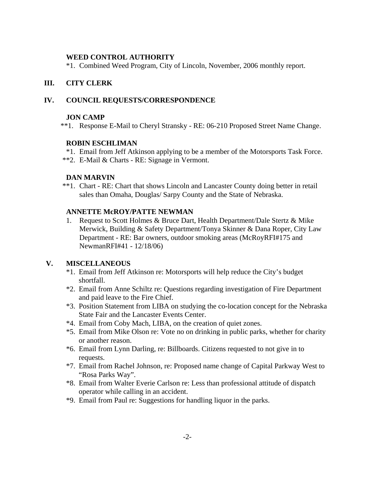### **WEED CONTROL AUTHORITY**

\*1. Combined Weed Program, City of Lincoln, November, 2006 monthly report.

### **III. CITY CLERK**

### **IV. COUNCIL REQUESTS/CORRESPONDENCE**

#### **JON CAMP**

\*\*1. Response E-Mail to Cheryl Stransky - RE: 06-210 Proposed Street Name Change.

#### **ROBIN ESCHLIMAN**

- \*1. Email from Jeff Atkinson applying to be a member of the Motorsports Task Force.
- \*\*2. E-Mail & Charts RE: Signage in Vermont.

#### **DAN MARVIN**

\*\*1. Chart - RE: Chart that shows Lincoln and Lancaster County doing better in retail sales than Omaha, Douglas/ Sarpy County and the State of Nebraska.

### **ANNETTE McROY/PATTE NEWMAN**

1. Request to Scott Holmes & Bruce Dart, Health Department/Dale Stertz & Mike Merwick, Building & Safety Department/Tonya Skinner & Dana Roper, City Law Department - RE: Bar owners, outdoor smoking areas (McRoyRFI#175 and NewmanRFI#41 - 12/18/06)

## **V. MISCELLANEOUS**

- \*1. Email from Jeff Atkinson re: Motorsports will help reduce the City's budget shortfall.
- \*2. Email from Anne Schiltz re: Questions regarding investigation of Fire Department and paid leave to the Fire Chief.
- \*3. Position Statement from LIBA on studying the co-location concept for the Nebraska State Fair and the Lancaster Events Center.
- \*4. Email from Coby Mach, LIBA, on the creation of quiet zones.
- \*5. Email from Mike Olson re: Vote no on drinking in public parks, whether for charity or another reason.
- \*6. Email from Lynn Darling, re: Billboards. Citizens requested to not give in to requests.
- \*7. Email from Rachel Johnson, re: Proposed name change of Capital Parkway West to "Rosa Parks Way".
- \*8. Email from Walter Everie Carlson re: Less than professional attitude of dispatch operator while calling in an accident.
- \*9. Email from Paul re: Suggestions for handling liquor in the parks.